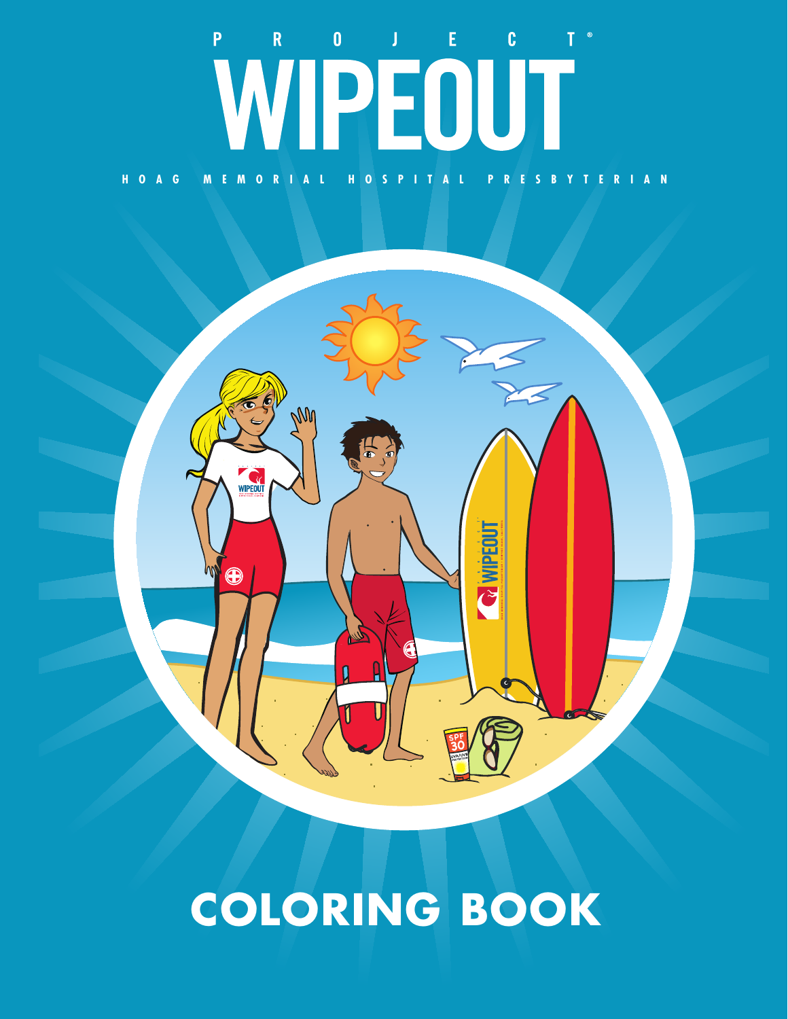## $\begin{bmatrix} 0 \\ -1 \end{bmatrix}$  $\vert 0 \vert$  $\mathbf R$  $\langle\mathbf{J}\rangle_{\mathrm{c}}=\mathbf{E}_{\mathrm{c}}$  .  $\overline{P}$ WIPEOUT **HOAG MEMORIAL HOSPITAL PRESBYTERIAN**



## **COLORING BOOK**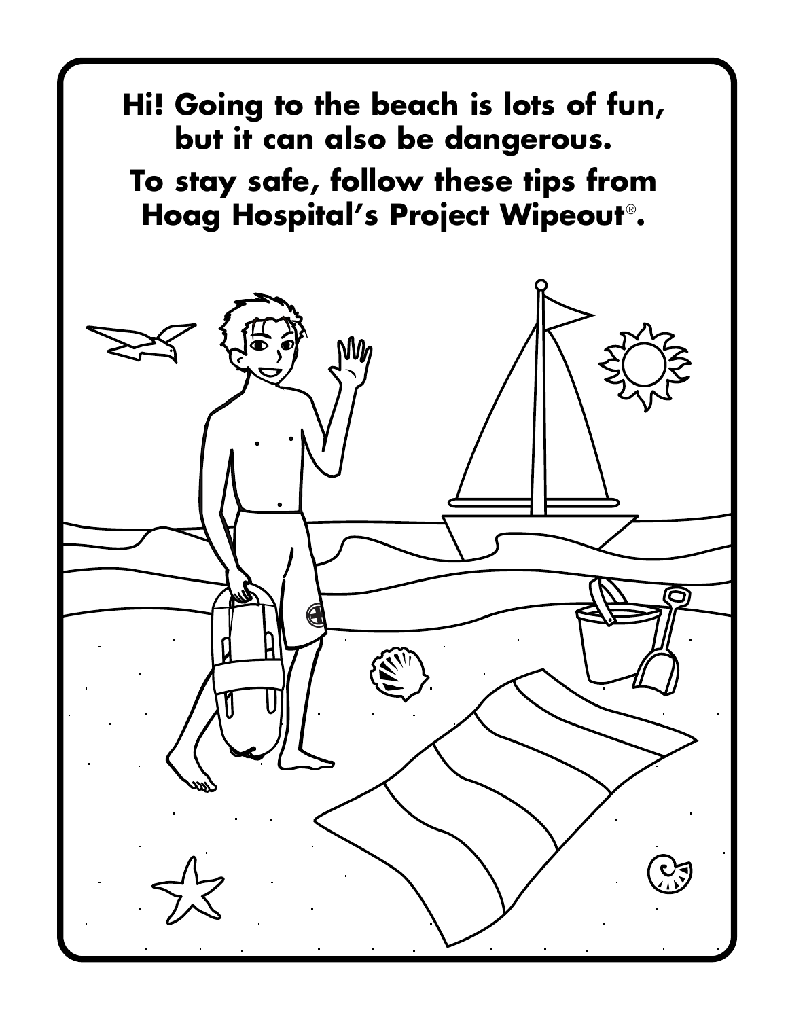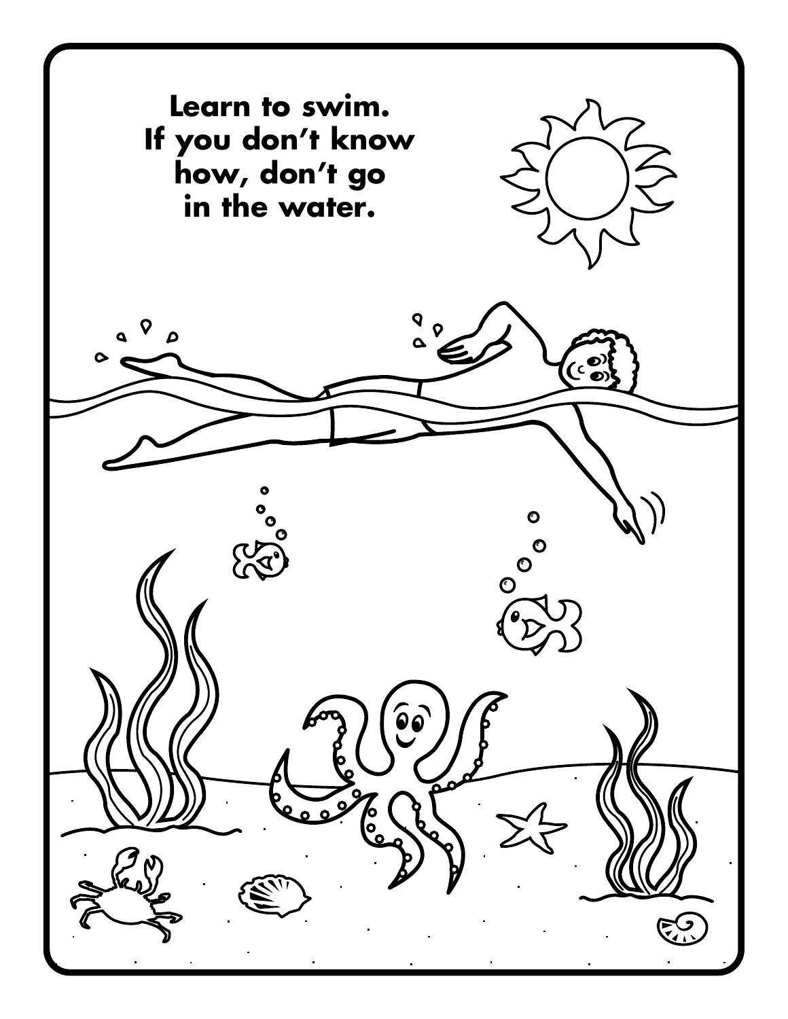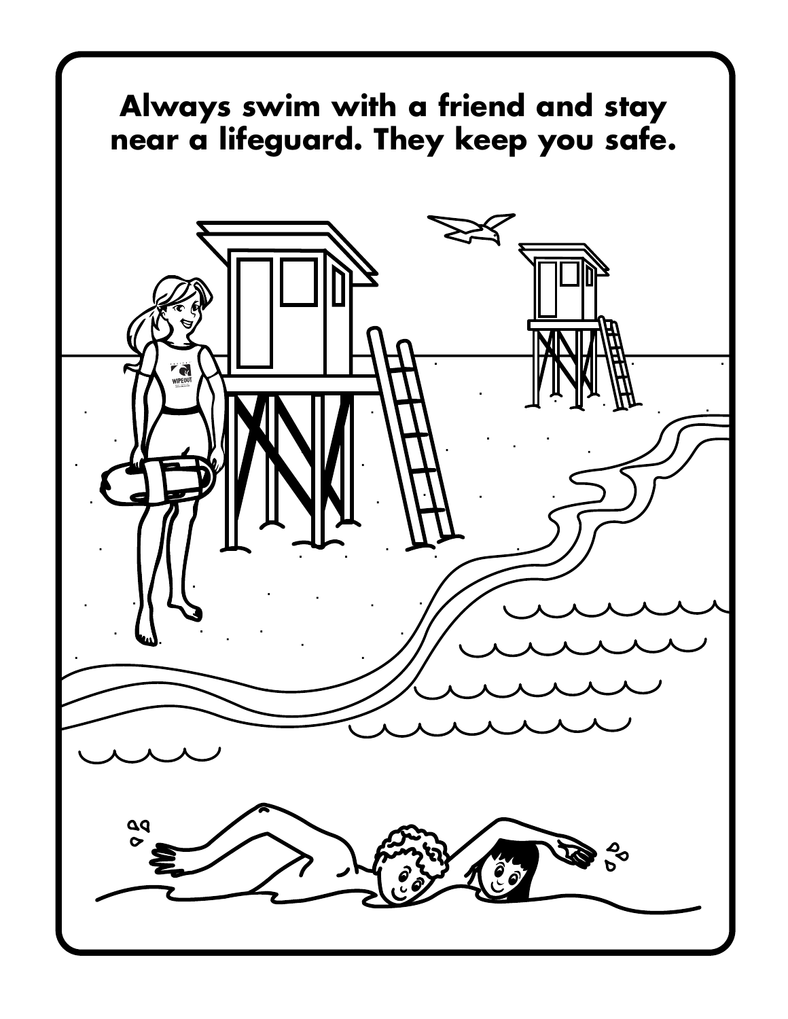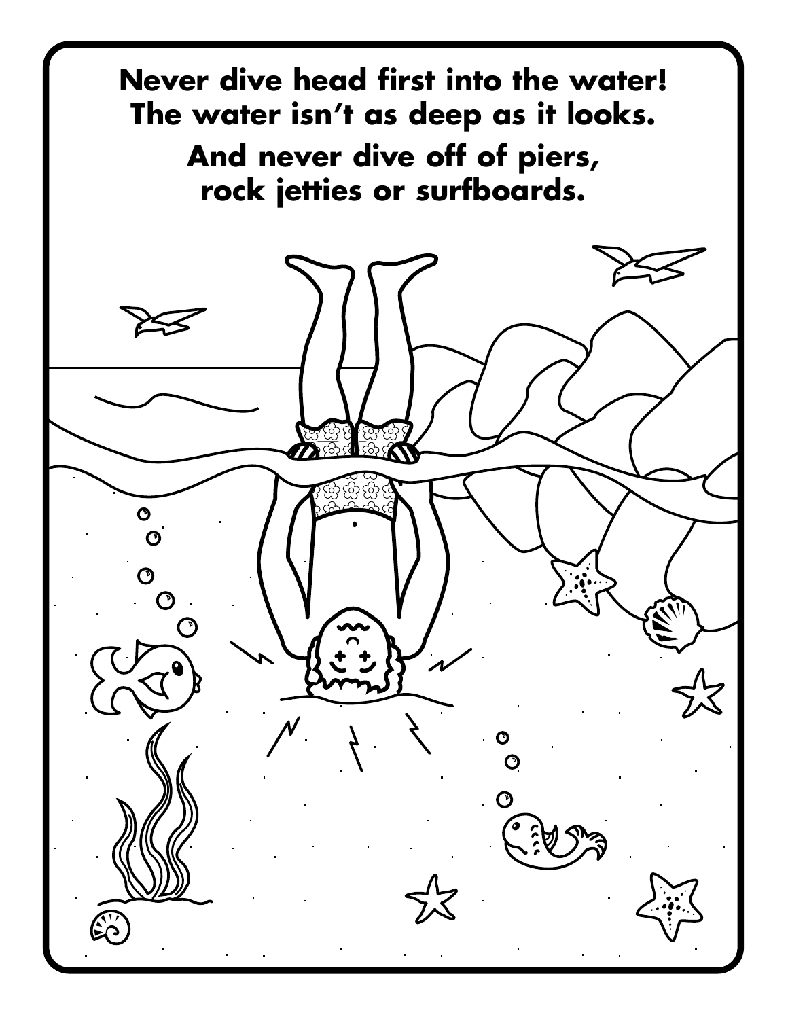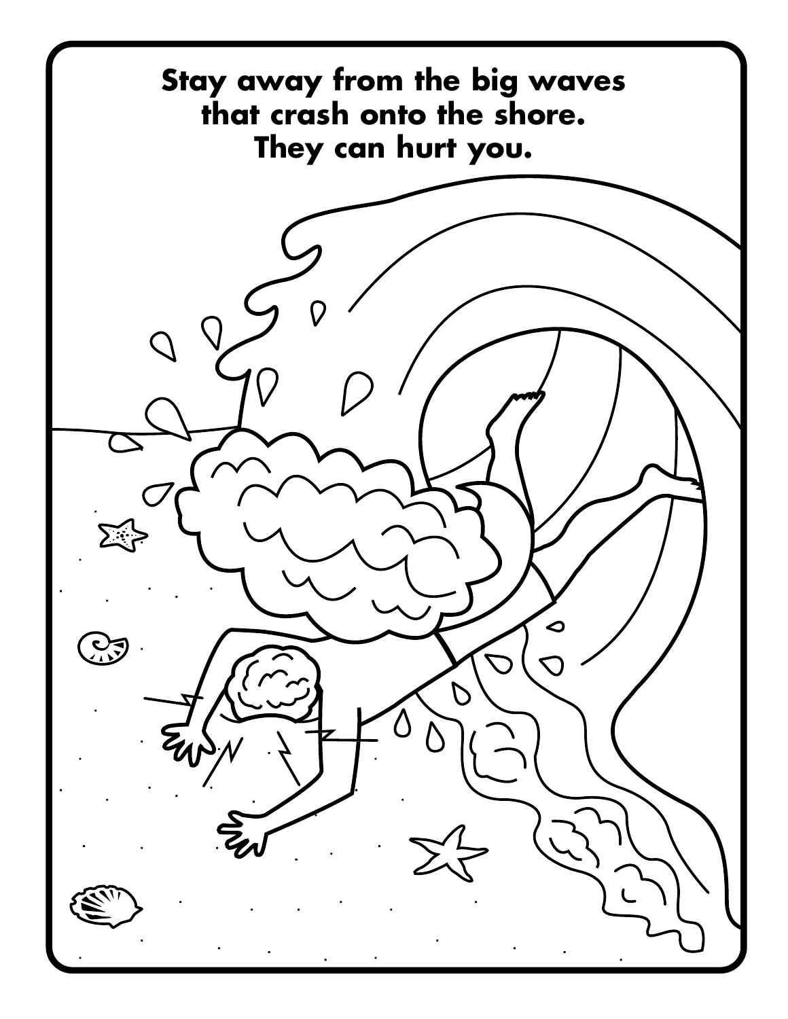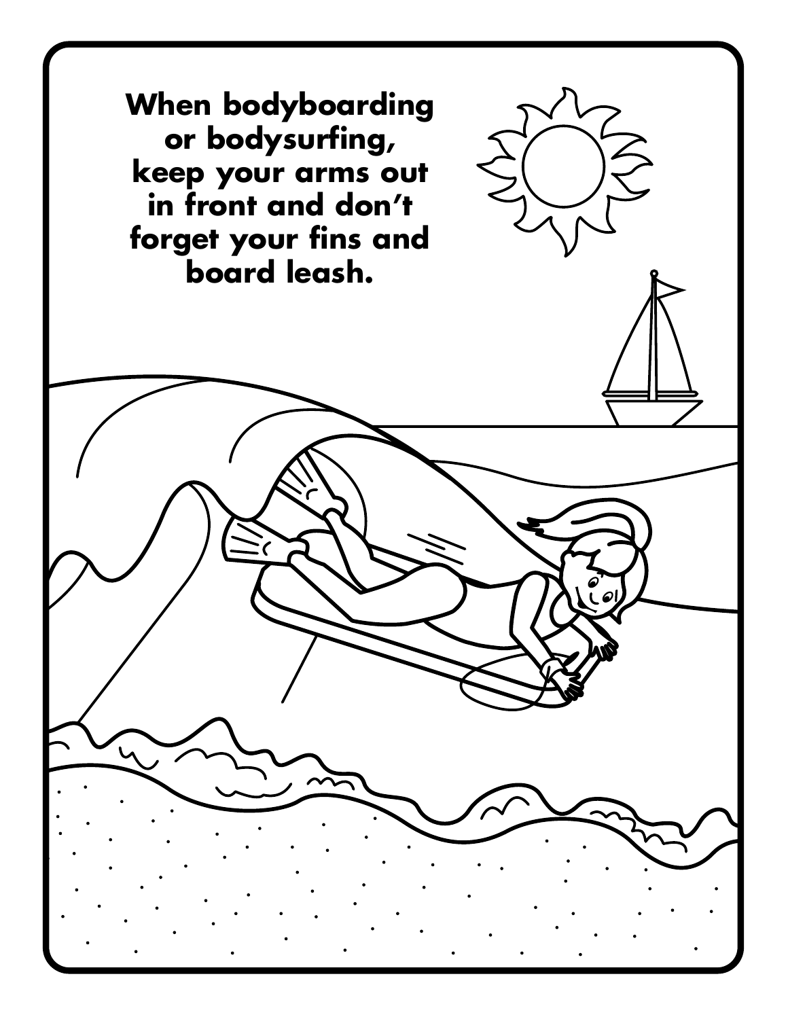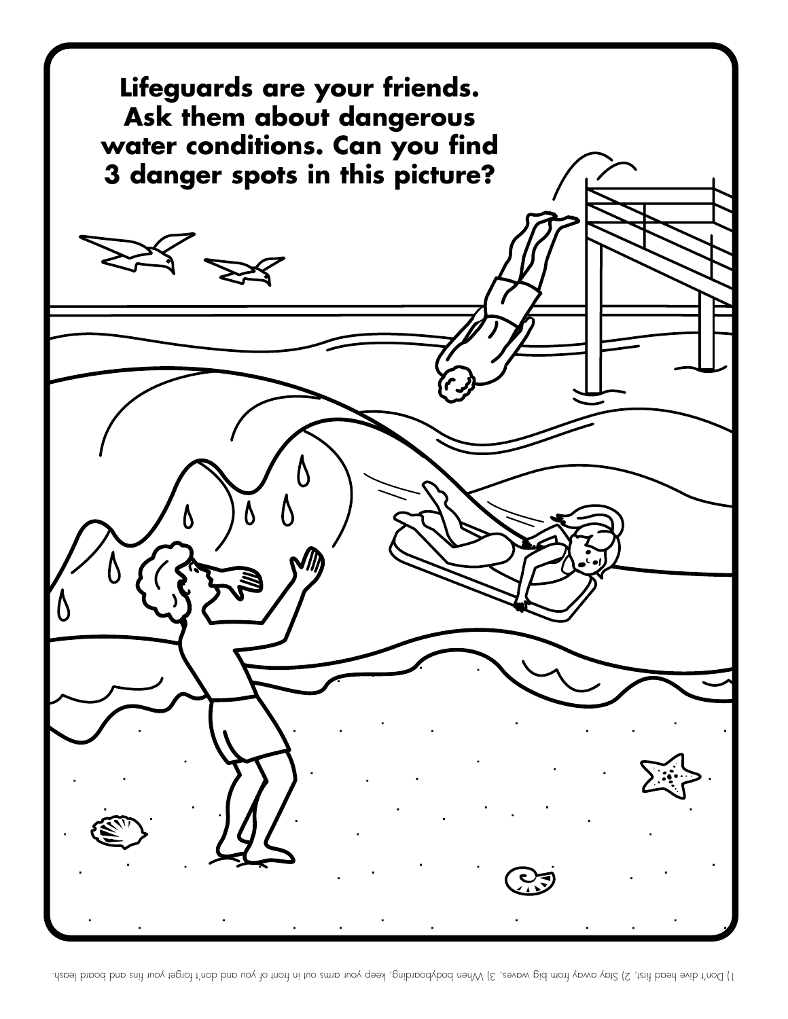

. Ho bout dive head first, 2) Stay away from big waves, 3) When dive head your dima way out in the way to dive the way board leash.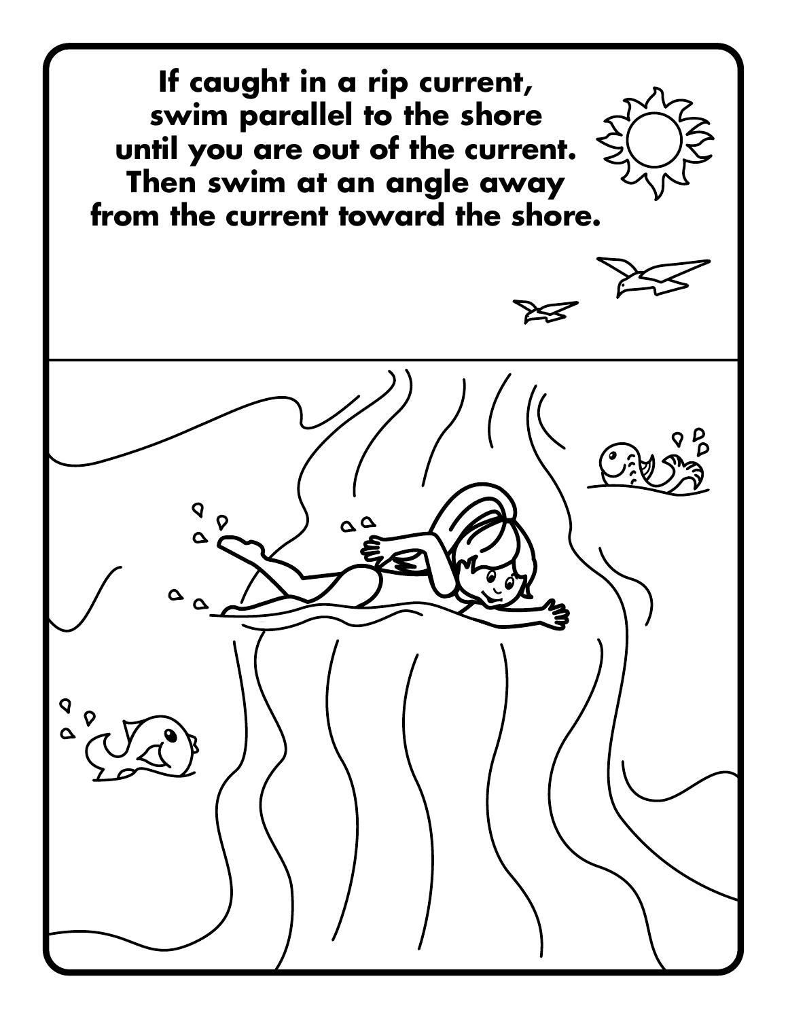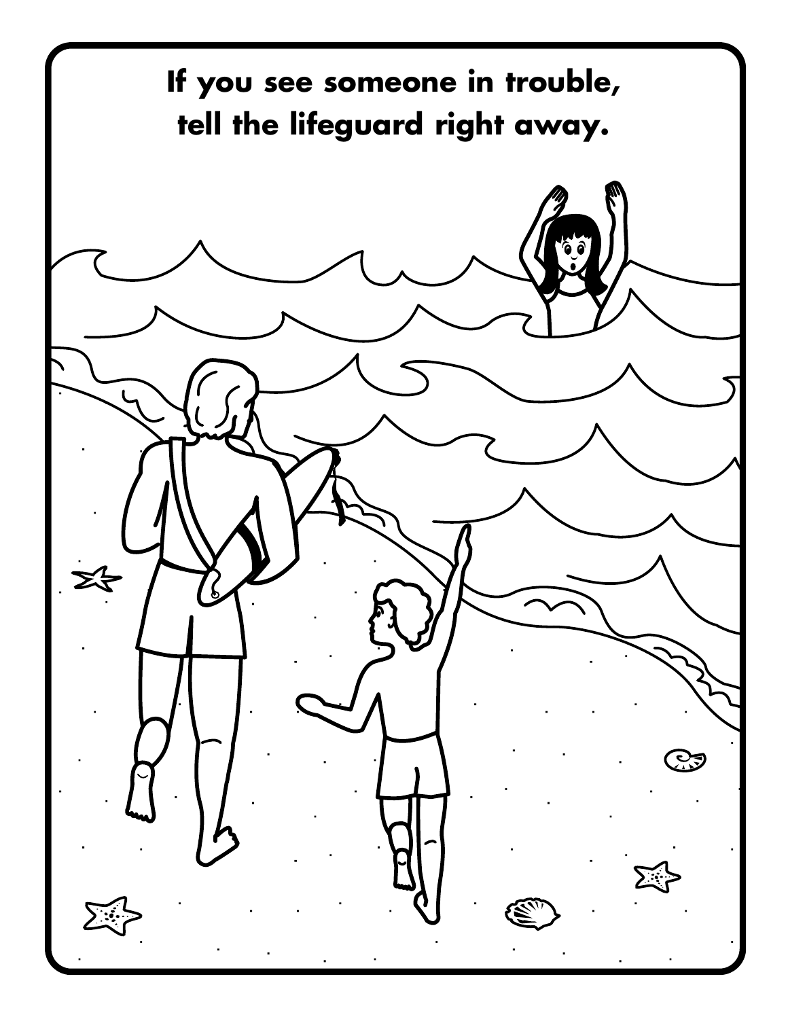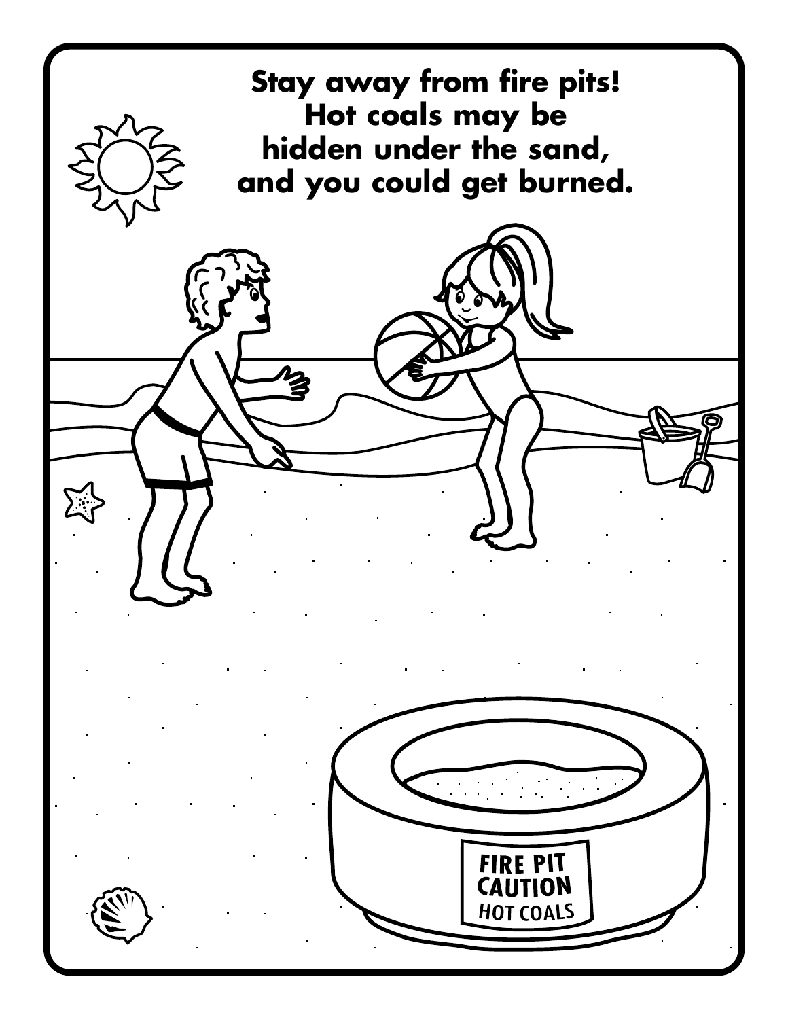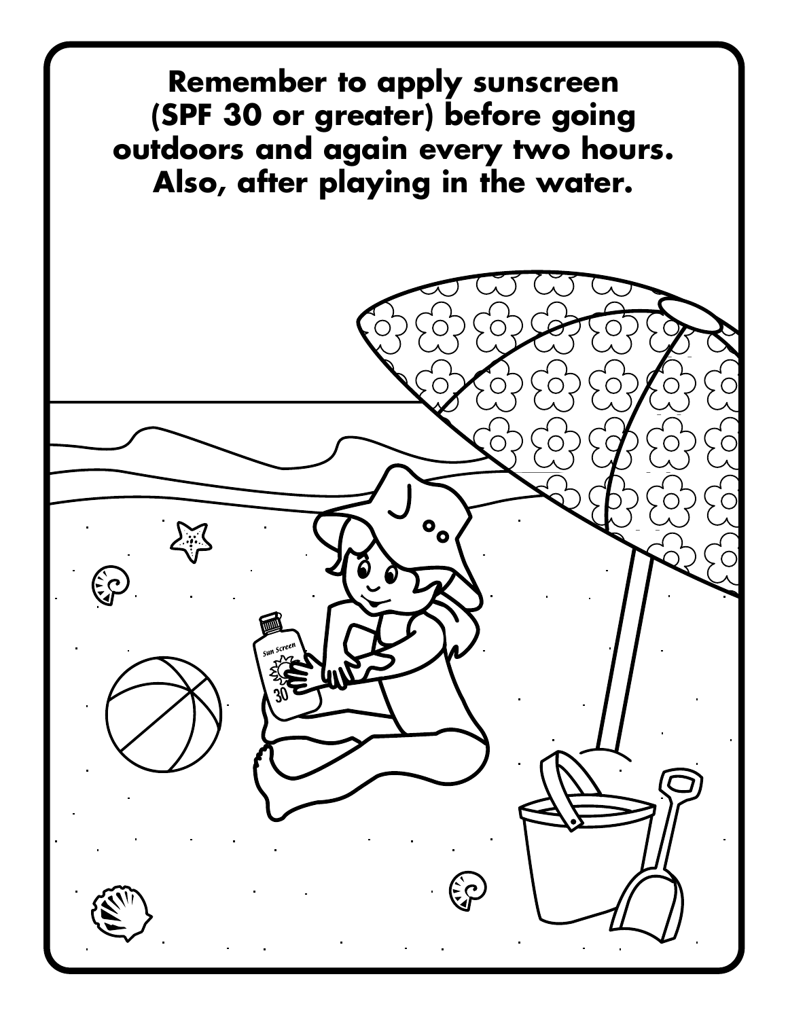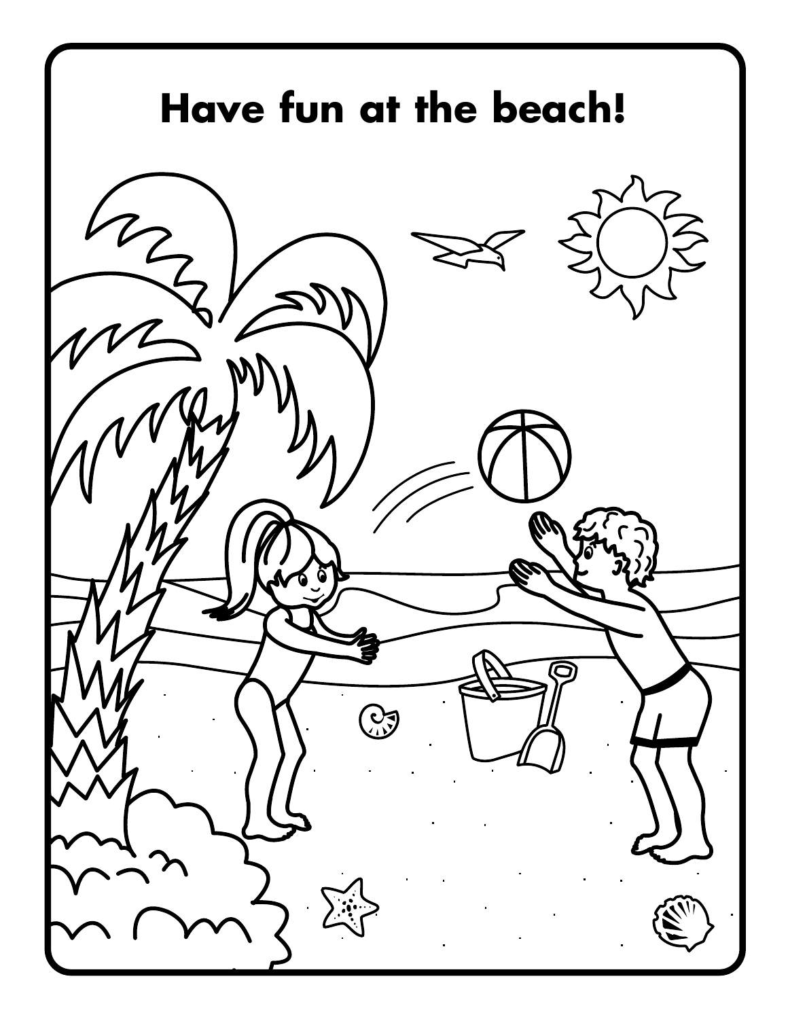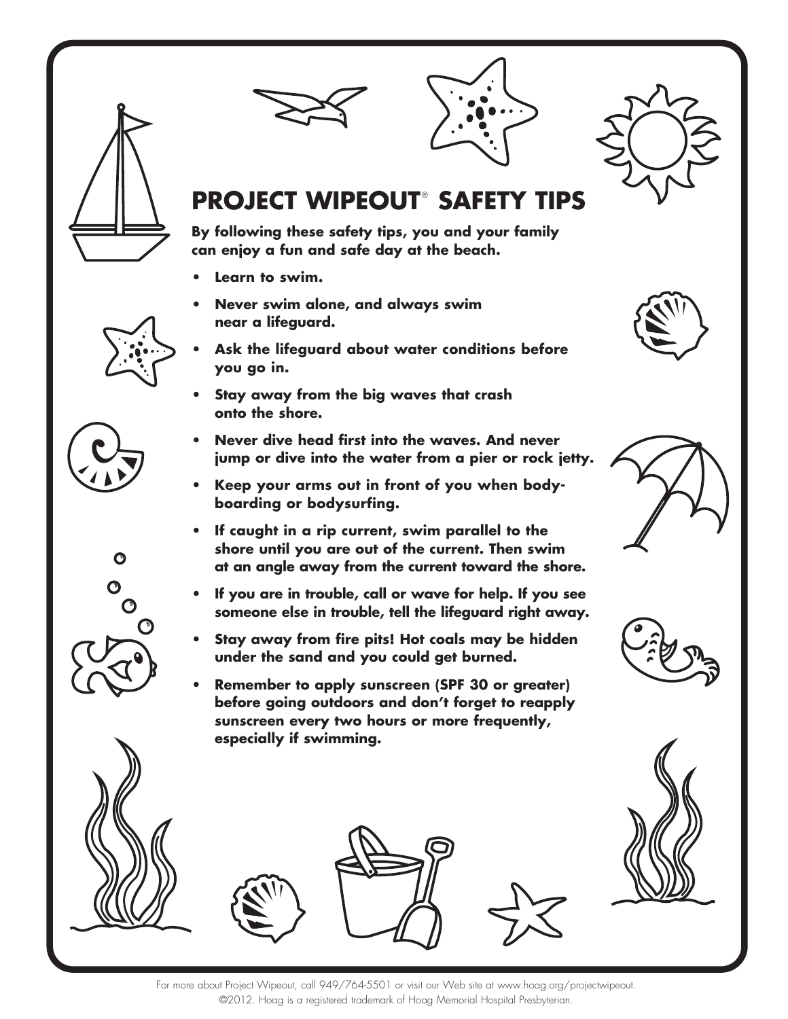





## **PROJECT WIPEOUT<sup>®</sup> SAFETY TIPS**

**By following these safety tips, you and your family can enjoy a fun and safe day at the beach.**

- Learn to swim.
- **Never swim alone, and always swim near a lifeguard.**
- Ask the lifequard about water conditions before **you go in.**
- Stay away from the big waves that crash **onto the shore.**
- **Never dive head first into the waves. And never jump or dive into the water from a pier or rock jetty.**
- **Keep your arms out in front of you when bodyboarding or bodysurfing.**
- $\bullet$  If caught in a rip current, swim parallel to the **shore until you are out of the current. Then swim at an angle away from the current toward the shore.**
- **U If you are in trouble, call or wave for help. If you see someone else in trouble, tell the lifeguard right away.**
- Stay away from fire pits! Hot coals may be hidden **under the sand and you could get burned.**
- **Remember to apply sunscreen (SPF 30 or greater) before going outdoors and don't forget to reapply sunscreen every two hours or more frequently, especially if swimming.**









 $\bullet$ 

 $\mathbf O$  $\bullet$